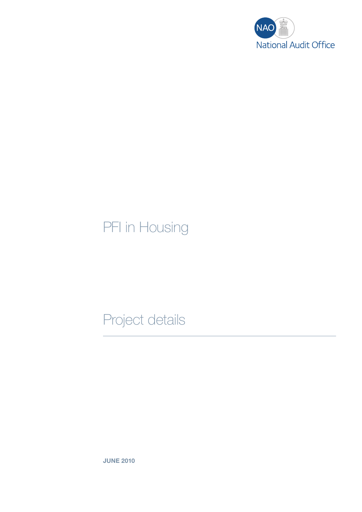

## PFI in Housing

## Project details

JUNE 2010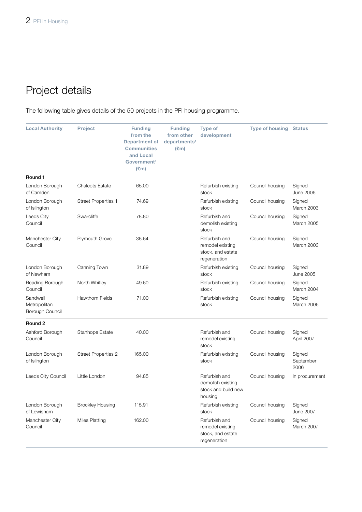## Project details

The following table gives details of the 50 projects in the PFI housing programme.

| <b>Local Authority</b>                      | <b>Project</b>             | <b>Funding</b><br>from the<br><b>Department of</b><br><b>Communities</b><br>and Local<br>Government <sup>1</sup><br>$(\text{Em})$ | <b>Funding</b><br>from other<br>departments <sup>1</sup><br>$(\text{Em})$ | <b>Type of</b><br>development                                          | <b>Type of housing</b> | <b>Status</b>               |
|---------------------------------------------|----------------------------|-----------------------------------------------------------------------------------------------------------------------------------|---------------------------------------------------------------------------|------------------------------------------------------------------------|------------------------|-----------------------------|
| Round 1                                     |                            |                                                                                                                                   |                                                                           |                                                                        |                        |                             |
| London Borough<br>of Camden                 | <b>Chalcots Estate</b>     | 65.00                                                                                                                             |                                                                           | Refurbish existing<br>stock                                            | Council housing        | Signed<br><b>June 2006</b>  |
| London Borough<br>of Islington              | <b>Street Properties 1</b> | 74.69                                                                                                                             |                                                                           | Refurbish existing<br>stock                                            | Council housing        | Signed<br>March 2003        |
| Leeds City<br>Council                       | Swarcliffe                 | 78.80                                                                                                                             |                                                                           | Refurbish and<br>demolish existing<br>stock                            | Council housing        | Signed<br>March 2005        |
| Manchester City<br>Council                  | <b>Plymouth Grove</b>      | 36.64                                                                                                                             |                                                                           | Refurbish and<br>remodel existing<br>stock, and estate<br>regeneration | Council housing        | Signed<br>March 2003        |
| London Borough<br>of Newham                 | Canning Town               | 31.89                                                                                                                             |                                                                           | Refurbish existing<br>stock                                            | Council housing        | Signed<br>June 2005         |
| Reading Borough<br>Council                  | North Whitley              | 49.60                                                                                                                             |                                                                           | Refurbish existing<br>stock                                            | Council housing        | Signed<br>March 2004        |
| Sandwell<br>Metropolitan<br>Borough Council | <b>Hawthorn Fields</b>     | 71.00                                                                                                                             |                                                                           | Refurbish existing<br>stock                                            | Council housing        | Signed<br>March 2006        |
| Round 2                                     |                            |                                                                                                                                   |                                                                           |                                                                        |                        |                             |
| Ashford Borough<br>Council                  | Stanhope Estate            | 40.00                                                                                                                             |                                                                           | Refurbish and<br>remodel existing<br>stock                             | Council housing        | Signed<br>April 2007        |
| London Borough<br>of Islington              | <b>Street Properties 2</b> | 165.00                                                                                                                            |                                                                           | Refurbish existing<br>stock                                            | Council housing        | Signed<br>September<br>2006 |
| Leeds City Council                          | Little London              | 94.85                                                                                                                             |                                                                           | Refurbish and<br>demolish existing<br>stock and build new<br>housing   | Council housing        | In procurement              |
| London Borough<br>of Lewisham               | <b>Brockley Housing</b>    | 115.91                                                                                                                            |                                                                           | Refurbish existing<br>stock                                            | Council housing        | Signed<br><b>June 2007</b>  |
| Manchester City<br>Council                  | <b>Miles Platting</b>      | 162.00                                                                                                                            |                                                                           | Refurbish and<br>remodel existing<br>stock, and estate<br>regeneration | Council housing        | Signed<br>March 2007        |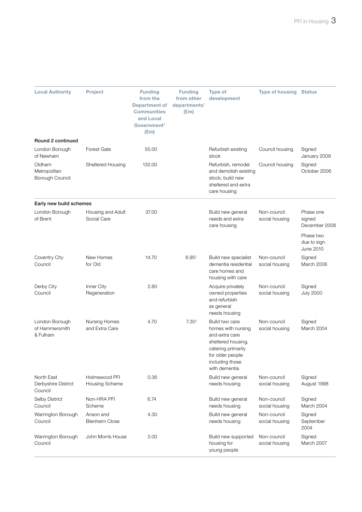| <b>Local Authority</b>                       | <b>Project</b>                     | <b>Funding</b><br>from the<br><b>Department of</b><br><b>Communities</b><br>and Local<br>Government <sup>1</sup><br>$(\mathbf{E}\mathbf{m})$ | <b>Funding</b><br>from other<br>departments <sup>1</sup><br>$(\text{Em})$ | <b>Type of</b><br>development                                                                                                                              | <b>Type of housing Status</b> |                                              |
|----------------------------------------------|------------------------------------|----------------------------------------------------------------------------------------------------------------------------------------------|---------------------------------------------------------------------------|------------------------------------------------------------------------------------------------------------------------------------------------------------|-------------------------------|----------------------------------------------|
| Round 2 continued<br>London Borough          | <b>Forest Gate</b>                 | 55.00                                                                                                                                        |                                                                           | Refurbish existing                                                                                                                                         | Council housing               | Signed                                       |
| of Newham                                    |                                    |                                                                                                                                              |                                                                           | stock                                                                                                                                                      |                               | January 2009                                 |
| Oldham<br>Metropolitan<br>Borough Council    | Sheltered Housing                  | 132.00                                                                                                                                       |                                                                           | Refurbish, remodel<br>and demolish existing<br>stock; build new<br>sheltered and extra<br>care housing                                                     | Council housing               | Signed<br>October 2006                       |
| Early new build schemes                      |                                    |                                                                                                                                              |                                                                           |                                                                                                                                                            |                               |                                              |
| London Borough<br>of Brent                   | Housing and Adult<br>Social Care   | 37.00                                                                                                                                        |                                                                           | Build new general<br>needs and extra<br>care housing                                                                                                       | Non-council<br>social housing | Phase one<br>signed<br>December 2008         |
|                                              |                                    |                                                                                                                                              |                                                                           |                                                                                                                                                            |                               | Phase two<br>due to sign<br><b>June 2010</b> |
| Coventry City<br>Council                     | New Homes<br>for Old               | 14.70                                                                                                                                        | 6.95 <sup>2</sup>                                                         | Build new specialist<br>dementia residential<br>care homes and<br>housing with care                                                                        | Non-council<br>social housing | Signed<br>March 2006                         |
| Derby City<br>Council                        | Inner City<br>Regeneration         | 2.80                                                                                                                                         |                                                                           | Acquire privately<br>owned properties<br>and refurbish<br>as general<br>needs housing                                                                      | Non-council<br>social housing | Signed<br><b>July 2000</b>                   |
| London Borough<br>of Hammersmith<br>& Fulham | Nursing Homes<br>and Extra Care    | 4.70                                                                                                                                         | 7.30 <sup>2</sup>                                                         | Build two care<br>homes with nursing<br>and extra care<br>sheltered housing,<br>catering primarily<br>for older people<br>including those<br>with dementia | Non-council<br>social housing | Signed<br>March 2004                         |
| North East<br>Derbyshire District<br>Council | Holmewood PFI<br>Housing Scheme    | 0.36                                                                                                                                         |                                                                           | Build new general<br>needs housing                                                                                                                         | Non-council<br>social housing | Signed<br>August 1998                        |
| Selby District<br>Council                    | Non-HRA PFI<br>Scheme              | 6.74                                                                                                                                         |                                                                           | Build new general<br>needs housing                                                                                                                         | Non-council<br>social housing | Signed<br>March 2004                         |
| Warrington Borough<br>Council                | Anson and<br><b>Blenheim Close</b> | 4.30                                                                                                                                         |                                                                           | Build new general<br>needs housing                                                                                                                         | Non-council<br>social housing | Signed<br>September<br>2004                  |
| Warrington Borough<br>Council                | John Morris House                  | 2.00                                                                                                                                         |                                                                           | Build new supported<br>housing for<br>young people                                                                                                         | Non-council<br>social housing | Signed<br>March 2007                         |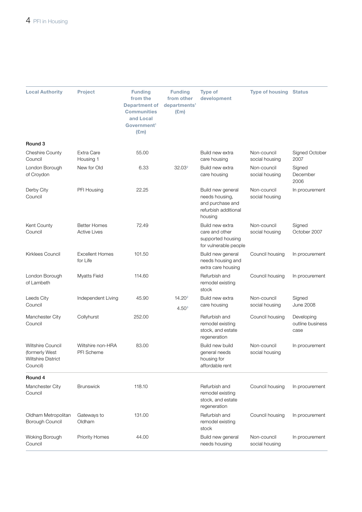| <b>Local Authority</b>                                                       | <b>Project</b>                             | <b>Funding</b><br>from the<br><b>Department of</b><br><b>Communities</b><br>and Local<br>Government <sup>1</sup><br>E(m) | <b>Funding</b><br>from other<br>departments <sup>1</sup><br>E(m) | <b>Type of</b><br>development                                                              | <b>Type of housing Status</b> |                                        |
|------------------------------------------------------------------------------|--------------------------------------------|--------------------------------------------------------------------------------------------------------------------------|------------------------------------------------------------------|--------------------------------------------------------------------------------------------|-------------------------------|----------------------------------------|
| Round 3                                                                      |                                            |                                                                                                                          |                                                                  |                                                                                            |                               |                                        |
| <b>Cheshire County</b><br>Council                                            | Extra Care<br>Housing 1                    | 55.00                                                                                                                    |                                                                  | Build new extra<br>care housing                                                            | Non-council<br>social housing | Signed October<br>2007                 |
| London Borough<br>of Croydon                                                 | New for Old                                | 6.33                                                                                                                     | 32.03 <sup>2</sup>                                               | Build new extra<br>care housing                                                            | Non-council<br>social housing | Signed<br>December<br>2006             |
| Derby City<br>Council                                                        | PFI Housing                                | 22.25                                                                                                                    |                                                                  | Build new general<br>needs housing,<br>and purchase and<br>refurbish additional<br>housing | Non-council<br>social housing | In procurement                         |
| Kent County<br>Council                                                       | <b>Better Homes</b><br><b>Active Lives</b> | 72.49                                                                                                                    |                                                                  | Build new extra<br>care and other<br>supported housing<br>for vulnerable people            | Non-council<br>social housing | Signed<br>October 2007                 |
| Kirklees Council                                                             | <b>Excellent Homes</b><br>for Life         | 101.50                                                                                                                   |                                                                  | Build new general<br>needs housing and<br>extra care housing                               | Council housing               | In procurement                         |
| London Borough<br>of Lambeth                                                 | <b>Myatts Field</b>                        | 114.60                                                                                                                   |                                                                  | Refurbish and<br>remodel existing<br>stock                                                 | Council housing               | In procurement                         |
| Leeds City<br>Council                                                        | Independent Living                         | 45.90                                                                                                                    | 14.20 <sup>2</sup><br>4.50 <sup>3</sup>                          | Build new extra<br>care housing                                                            | Non-council<br>social housing | Signed<br><b>June 2008</b>             |
| Manchester City<br>Council                                                   | Collyhurst                                 | 252.00                                                                                                                   |                                                                  | Refurbish and<br>remodel existing<br>stock, and estate<br>regeneration                     | Council housing               | Developing<br>outline business<br>case |
| <b>Wiltshire Council</b><br>(formerly West<br>Wiltshire District<br>Council) | Wiltshire non-HRA<br>PFI Scheme            | 83.00                                                                                                                    |                                                                  | Build new build<br>general needs<br>housing for<br>affordable rent                         | Non-council<br>social housing | In procurement                         |
| Round 4                                                                      |                                            |                                                                                                                          |                                                                  |                                                                                            |                               |                                        |
| Manchester City<br>Council                                                   | <b>Brunswick</b>                           | 118.10                                                                                                                   |                                                                  | Refurbish and<br>remodel existing<br>stock, and estate<br>regeneration                     | Council housing               | In procurement                         |
| Oldham Metropolitan<br>Borough Council                                       | Gateways to<br>Oldham                      | 131.00                                                                                                                   |                                                                  | Refurbish and<br>remodel existing<br>stock                                                 | Council housing               | In procurement                         |
| Woking Borough<br>Council                                                    | <b>Priority Homes</b>                      | 44.00                                                                                                                    |                                                                  | Build new general<br>needs housing                                                         | Non-council<br>social housing | In procurement                         |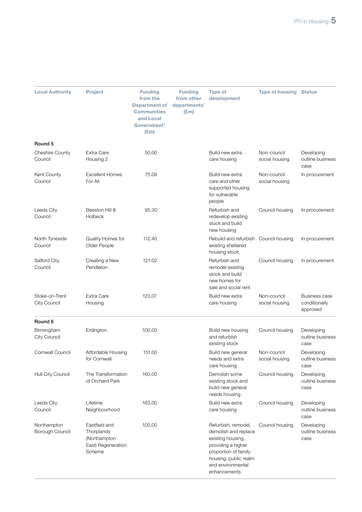| <b>Local Authority</b>                | <b>Project</b>                                                              | <b>Funding</b><br>from the<br><b>Department of</b><br><b>Communities</b><br>and Local<br>Government <sup>1</sup><br>$(\mathbf{E}$ m) | <b>Funding</b><br>from other<br>departments <sup>1</sup><br>$(\text{Em})$ | <b>Type of</b><br>development                                                                                                                                                | <b>Type of housing Status</b> |                                                   |
|---------------------------------------|-----------------------------------------------------------------------------|--------------------------------------------------------------------------------------------------------------------------------------|---------------------------------------------------------------------------|------------------------------------------------------------------------------------------------------------------------------------------------------------------------------|-------------------------------|---------------------------------------------------|
| Round 5                               |                                                                             |                                                                                                                                      |                                                                           |                                                                                                                                                                              |                               |                                                   |
| <b>Cheshire County</b><br>Council     | Extra Care<br>Housing 2                                                     | 50.00                                                                                                                                |                                                                           | Build new extra<br>care housing                                                                                                                                              | Non-council<br>social housing | Developing<br>outline business<br>case            |
| Kent County<br>Council                | <b>Excellent Homes</b><br>For All                                           | 75.09                                                                                                                                |                                                                           | Build new extra<br>care and other<br>supported housing<br>for vulnerable<br>people                                                                                           | Non-council<br>social housing | In procurement                                    |
| Leeds City<br>Council                 | Beeston Hill &<br><b>Holbeck</b>                                            | 95.30                                                                                                                                |                                                                           | Refurbish and<br>redevelop existing<br>stock and build<br>new housing                                                                                                        | Council housing               | In procurement                                    |
| North Tyneside<br>Council             | Quality Homes for<br>Older People                                           | 112.40                                                                                                                               |                                                                           | Rebuild and refurbish Council housing<br>existing sheltered<br>housing stock.                                                                                                |                               | In procurement                                    |
| Salford City<br>Council               | Creating a New<br>Pendleton                                                 | 121.02                                                                                                                               |                                                                           | Refurbish and<br>remodel existing<br>stock and build<br>new homes for<br>sale and social rent                                                                                | Council housing               | In procurement                                    |
| Stoke-on-Trent<br><b>City Council</b> | Extra Care<br>Housing                                                       | 123.07                                                                                                                               |                                                                           | Build new extra<br>care housing                                                                                                                                              | Non-council<br>social housing | <b>Business case</b><br>conditionally<br>approved |
| Round 6                               |                                                                             |                                                                                                                                      |                                                                           |                                                                                                                                                                              |                               |                                                   |
| Birmingham<br>City Council            | Erdington                                                                   | 100.00                                                                                                                               |                                                                           | Build new housing<br>and refurbish<br>existing stock                                                                                                                         | Council housing               | Developing<br>outline business<br>case            |
| Cornwall Council                      | Affordable Housing<br>for Cornwall                                          | 151.00                                                                                                                               |                                                                           | Build new general<br>needs and extra<br>care housing                                                                                                                         | Non-council<br>social housing | Developing<br>outline business<br>case            |
| Hull City Council                     | The Transformation<br>of Orchard Park                                       | 160.00                                                                                                                               |                                                                           | Demolish some<br>existing stock and<br>build new general<br>needs housing                                                                                                    | Council housing               | Developing<br>outline business<br>case            |
| Leeds City<br>Council                 | Lifetime<br>Neighbourhood                                                   | 183.00                                                                                                                               |                                                                           | Build new extra<br>care housing                                                                                                                                              | Council housing               | Developing<br>outline business<br>case            |
| Northampton<br>Borough Council        | Eastfield and<br>Thorplands<br>(Northampton<br>East) Regeneration<br>Scheme | 100.00                                                                                                                               |                                                                           | Refurbish, remodel,<br>demolish and replace<br>existing housing,<br>providing a higher<br>proportion of family<br>housing, public realm<br>and environmental<br>enhancements | Council housing               | Developing<br>outline business<br>case            |